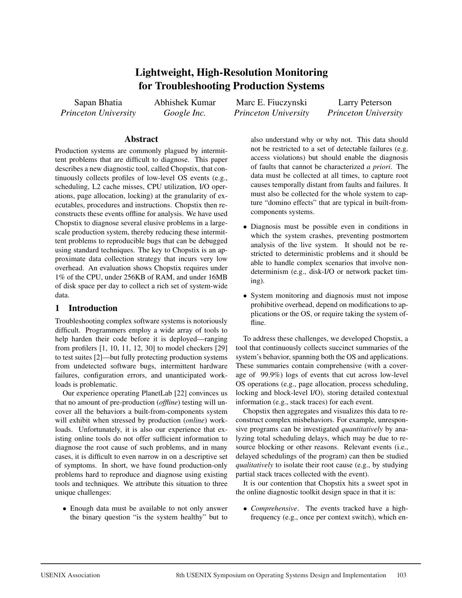# Lightweight, High-Resolution Monitoring for Troubleshooting Production Systems

Sapan Bhatia *Princeton University* Abhishek Kumar *Google Inc.*

Marc E. Fiuczynski *Princeton University*

Larry Peterson *Princeton University*

# Abstract

Production systems are commonly plagued by intermittent problems that are difficult to diagnose. This paper describes a new diagnostic tool, called Chopstix, that continuously collects profiles of low-level OS events (e.g., scheduling, L2 cache misses, CPU utilization, I/O operations, page allocation, locking) at the granularity of executables, procedures and instructions. Chopstix then reconstructs these events offline for analysis. We have used Chopstix to diagnose several elusive problems in a largescale production system, thereby reducing these intermittent problems to reproducible bugs that can be debugged using standard techniques. The key to Chopstix is an approximate data collection strategy that incurs very low overhead. An evaluation shows Chopstix requires under 1% of the CPU, under 256KB of RAM, and under 16MB of disk space per day to collect a rich set of system-wide data.

# 1 Introduction

Troubleshooting complex software systems is notoriously difficult. Programmers employ a wide array of tools to help harden their code before it is deployed—ranging from profilers [1, 10, 11, 12, 30] to model checkers [29] to test suites [2]—but fully protecting production systems from undetected software bugs, intermittent hardware failures, configuration errors, and unanticipated workloads is problematic.

Our experience operating PlanetLab [22] convinces us that no amount of pre-production (*offline*) testing will uncover all the behaviors a built-from-components system will exhibit when stressed by production (*online*) workloads. Unfortunately, it is also our experience that existing online tools do not offer sufficient information to diagnose the root cause of such problems, and in many cases, it is difficult to even narrow in on a descriptive set of symptoms. In short, we have found production-only problems hard to reproduce and diagnose using existing tools and techniques. We attribute this situation to three unique challenges:

• Enough data must be available to not only answer the binary question "is the system healthy" but to

also understand why or why not. This data should not be restricted to a set of detectable failures (e.g. access violations) but should enable the diagnosis of faults that cannot be characterized *a priori*. The data must be collected at all times, to capture root causes temporally distant from faults and failures. It must also be collected for the whole system to capture "domino effects" that are typical in built-fromcomponents systems.

- Diagnosis must be possible even in conditions in which the system crashes, preventing postmortem analysis of the live system. It should not be restricted to deterministic problems and it should be able to handle complex scenarios that involve nondeterminism (e.g., disk-I/O or network packet timing).
- System monitoring and diagnosis must not impose prohibitive overhead, depend on modifications to applications or the OS, or require taking the system offline.

To address these challenges, we developed Chopstix, a tool that continuously collects succinct summaries of the system's behavior, spanning both the OS and applications. These summaries contain comprehensive (with a coverage of 99.9%) logs of events that cut across low-level OS operations (e.g., page allocation, process scheduling, locking and block-level I/O), storing detailed contextual information (e.g., stack traces) for each event.

Chopstix then aggregates and visualizes this data to reconstruct complex misbehaviors. For example, unresponsive programs can be investigated *quantitatively* by analyzing total scheduling delays, which may be due to resource blocking or other reasons. Relevant events (i.e., delayed schedulings of the program) can then be studied *qualitatively* to isolate their root cause (e.g., by studying partial stack traces collected with the event).

It is our contention that Chopstix hits a sweet spot in the online diagnostic toolkit design space in that it is:

• *Comprehensive*. The events tracked have a highfrequency (e.g., once per context switch), which en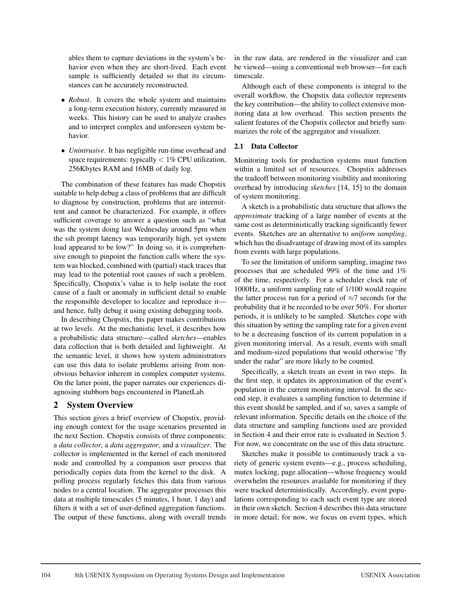ables them to capture deviations in the system's behavior even when they are short-lived. Each event sample is sufficiently detailed so that its circumstances can be accurately reconstructed.

- *Robust*. It covers the whole system and maintains a long-term execution history, currently measured in weeks. This history can be used to analyze crashes and to interpret complex and unforeseen system behavior.
- *Unintrusive*. It has negligible run-time overhead and space requirements: typically  $< 1\%$  CPU utilization, 256Kbytes RAM and 16MB of daily log.

The combination of these features has made Chopstix suitable to help debug a class of problems that are difficult to diagnose by construction, problems that are intermittent and cannot be characterized. For example, it offers sufficient coverage to answer a question such as "what was the system doing last Wednesday around 5pm when the ssh prompt latency was temporarily high, yet system load appeared to be low?" In doing so, it is comprehensive enough to pinpoint the function calls where the system was blocked, combined with (partial) stack traces that may lead to the potential root causes of such a problem. Specifically, Chopstix's value is to help isolate the root cause of a fault or anomaly in sufficient detail to enable the responsible developer to localize and reproduce it and hence, fully debug it using existing debugging tools.

In describing Chopstix, this paper makes contributions at two levels. At the mechanistic level, it describes how a probabilistic data structure—called *sketches*—enables data collection that is both detailed and lightweight. At the semantic level, it shows how system administrators can use this data to isolate problems arising from nonobvious behavior inherent in complex computer systems. On the latter point, the paper narrates our experiences diagnosing stubborn bugs encountered in PlanetLab.

# 2 System Overview

This section gives a brief overview of Chopstix, providing enough context for the usage scenarios presented in the next Section. Chopstix consists of three components: a *data collector*, a *data aggregator*, and a *visualizer*. The collector is implemented in the kernel of each monitored node and controlled by a companion user process that periodically copies data from the kernel to the disk. A polling process regularly fetches this data from various nodes to a central location. The aggregator processes this data at multiple timescales (5 minutes, 1 hour, 1 day) and filters it with a set of user-defined aggregation functions. The output of these functions, along with overall trends in the raw data, are rendered in the visualizer and can be viewed—using a conventional web browser—for each timescale.

Although each of these components is integral to the overall workflow, the Chopstix data collector represents the key contribution—the ability to collect extensive monitoring data at low overhead. This section presents the salient features of the Chopstix collector and briefly summarizes the role of the aggregator and visualizer.

# 2.1 Data Collector

Monitoring tools for production systems must function within a limited set of resources. Chopstix addresses the tradeoff between monitoring visibility and monitoring overhead by introducing *sketches* [14, 15] to the domain of system monitoring.

A sketch is a probabilistic data structure that allows the *approximate* tracking of a large number of events at the same cost as deterministically tracking significantly fewer events. Sketches are an alternative to *uniform sampling*, which has the disadvantage of drawing most of its samples from events with large populations.

To see the limitation of uniform sampling, imagine two processes that are scheduled 99% of the time and 1% of the time, respectively. For a scheduler clock rate of 1000Hz, a uniform sampling rate of 1/100 would require the latter process run for a period of  $\approx$ 7 seconds for the probability that it be recorded to be over 50%. For shorter periods, it is unlikely to be sampled. Sketches cope with this situation by setting the sampling rate for a given event to be a decreasing function of its current population in a given monitoring interval. As a result, events with small and medium-sized populations that would otherwise "fly under the radar" are more likely to be counted.

Specifically, a sketch treats an event in two steps. In the first step, it updates its approximation of the event's population in the current monitoring interval. In the second step, it evaluates a sampling function to determine if this event should be sampled, and if so, saves a sample of relevant information. Specific details on the choice of the data structure and sampling functions used are provided in Section 4 and their error rate is evaluated in Section 5. For now, we concentrate on the use of this data structure.

Sketches make it possible to continuously track a variety of generic system events—e.g., process scheduling, mutex locking, page allocation—whose frequency would overwhelm the resources available for monitoring if they were tracked deterministically. Accordingly, event populations corresponding to each such event type are stored in their own sketch. Section 4 describes this data structure in more detail; for now, we focus on event types, which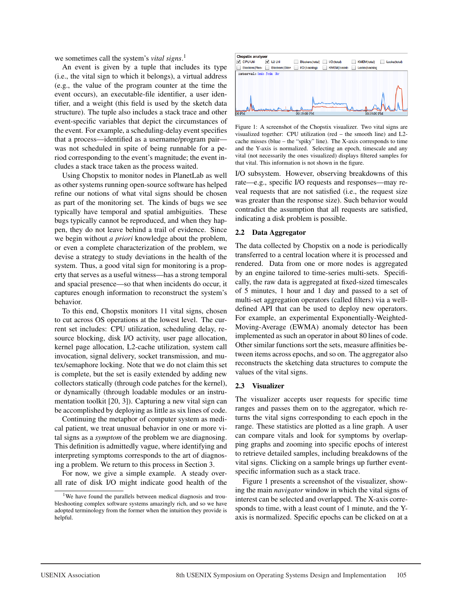we sometimes call the system's *vital signs*. 1

An event is given by a tuple that includes its type (i.e., the vital sign to which it belongs), a virtual address (e.g., the value of the program counter at the time the event occurs), an executable-file identifier, a user identifier, and a weight (this field is used by the sketch data structure). The tuple also includes a stack trace and other event-specific variables that depict the circumstances of the event. For example, a scheduling-delay event specifies that a process—identified as a username/program pair was not scheduled in spite of being runnable for a period corresponding to the event's magnitude; the event includes a stack trace taken as the process waited.

Using Chopstix to monitor nodes in PlanetLab as well as other systems running open-source software has helped refine our notions of what vital signs should be chosen as part of the monitoring set. The kinds of bugs we see typically have temporal and spatial ambiguities. These bugs typically cannot be reproduced, and when they happen, they do not leave behind a trail of evidence. Since we begin without *a priori* knowledge about the problem, or even a complete characterization of the problem, we devise a strategy to study deviations in the health of the system. Thus, a good vital sign for monitoring is a property that serves as a useful witness—has a strong temporal and spacial presence—so that when incidents do occur, it captures enough information to reconstruct the system's behavior.

To this end, Chopstix monitors 11 vital signs, chosen to cut across OS operations at the lowest level. The current set includes: CPU utilization, scheduling delay, resource blocking, disk I/O activity, user page allocation, kernel page allocation, L2-cache utilization, system call invocation, signal delivery, socket transmission, and mutex/semaphore locking. Note that we do not claim this set is complete, but the set is easily extended by adding new collectors statically (through code patches for the kernel), or dynamically (through loadable modules or an instrumentation toolkit [20, 3]). Capturing a new vital sign can be accomplished by deploying as little as six lines of code.

Continuing the metaphor of computer system as medical patient, we treat unusual behavior in one or more vital signs as a *symptom* of the problem we are diagnosing. This definition is admittedly vague, where identifying and interpreting symptoms corresponds to the art of diagnosing a problem. We return to this process in Section 3.

For now, we give a simple example. A steady overall rate of disk I/O might indicate good health of the



Figure 1: A screenshot of the Chopstix visualizer. Two vital signs are visualized together: CPU utilization (red – the smooth line) and L2 cache misses (blue – the "spiky" line). The X-axis corresponds to time and the Y-axis is normalized. Selecting an epoch, timescale and any vital (not necessarily the ones visualized) displays filtered samples for that vital. This information is not shown in the figure.

I/O subsystem. However, observing breakdowns of this rate—e.g., specific I/O requests and responses—may reveal requests that are not satisfied (i.e., the request size was greater than the response size). Such behavior would contradict the assumption that all requests are satisfied, indicating a disk problem is possible.

#### 2.2 Data Aggregator

The data collected by Chopstix on a node is periodically transferred to a central location where it is processed and rendered. Data from one or more nodes is aggregated by an engine tailored to time-series multi-sets. Specifically, the raw data is aggregated at fixed-sized timescales of 5 minutes, 1 hour and 1 day and passed to a set of multi-set aggregation operators (called filters) via a welldefined API that can be used to deploy new operators. For example, an experimental Exponentially-Weighted-Moving-Average (EWMA) anomaly detector has been implemented as such an operator in about 80 lines of code. Other similar functions sort the sets, measure affinities between items across epochs, and so on. The aggregator also reconstructs the sketching data structures to compute the values of the vital signs.

#### 2.3 Visualizer

The visualizer accepts user requests for specific time ranges and passes them on to the aggregator, which returns the vital signs corresponding to each epoch in the range. These statistics are plotted as a line graph. A user can compare vitals and look for symptoms by overlapping graphs and zooming into specific epochs of interest to retrieve detailed samples, including breakdowns of the vital signs. Clicking on a sample brings up further eventspecific information such as a stack trace.

Figure 1 presents a screenshot of the visualizer, showing the main *navigator* window in which the vital signs of interest can be selected and overlapped. The X-axis corresponds to time, with a least count of 1 minute, and the Yaxis is normalized. Specific epochs can be clicked on at a

<sup>&</sup>lt;sup>1</sup>We have found the parallels between medical diagnosis and troubleshooting complex software systems amazingly rich, and so we have adopted terminology from the former when the intuition they provide is helpful.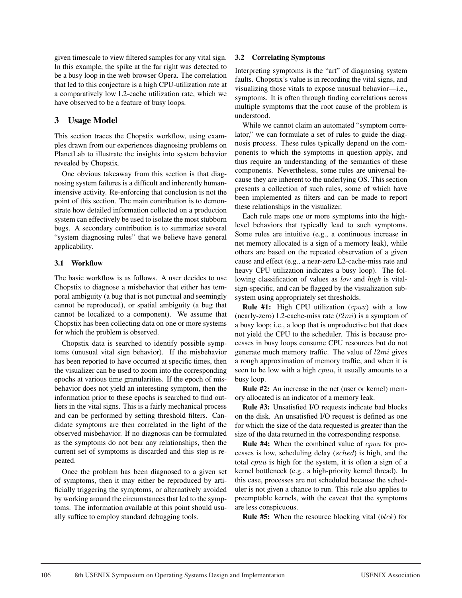given timescale to view filtered samples for any vital sign. In this example, the spike at the far right was detected to be a busy loop in the web browser Opera. The correlation that led to this conjecture is a high CPU-utilization rate at a comparatively low L2-cache utilization rate, which we have observed to be a feature of busy loops.

# 3 Usage Model

This section traces the Chopstix workflow, using examples drawn from our experiences diagnosing problems on PlanetLab to illustrate the insights into system behavior revealed by Chopstix.

One obvious takeaway from this section is that diagnosing system failures is a difficult and inherently humanintensive activity. Re-enforcing that conclusion is not the point of this section. The main contribution is to demonstrate how detailed information collected on a production system can effectively be used to isolate the most stubborn bugs. A secondary contribution is to summarize several "system diagnosing rules" that we believe have general applicability.

# 3.1 Workflow

The basic workflow is as follows. A user decides to use Chopstix to diagnose a misbehavior that either has temporal ambiguity (a bug that is not punctual and seemingly cannot be reproduced), or spatial ambiguity (a bug that cannot be localized to a component). We assume that Chopstix has been collecting data on one or more systems for which the problem is observed.

Chopstix data is searched to identify possible symptoms (unusual vital sign behavior). If the misbehavior has been reported to have occurred at specific times, then the visualizer can be used to zoom into the corresponding epochs at various time granularities. If the epoch of misbehavior does not yield an interesting symptom, then the information prior to these epochs is searched to find outliers in the vital signs. This is a fairly mechanical process and can be performed by setting threshold filters. Candidate symptoms are then correlated in the light of the observed misbehavior. If no diagnosis can be formulated as the symptoms do not bear any relationships, then the current set of symptoms is discarded and this step is repeated.

Once the problem has been diagnosed to a given set of symptoms, then it may either be reproduced by artificially triggering the symptoms, or alternatively avoided by working around the circumstances that led to the symptoms. The information available at this point should usually suffice to employ standard debugging tools.

# 3.2 Correlating Symptoms

Interpreting symptoms is the "art" of diagnosing system faults. Chopstix's value is in recording the vital signs, and visualizing those vitals to expose unusual behavior—i.e., symptoms. It is often through finding correlations across multiple symptoms that the root cause of the problem is understood.

While we cannot claim an automated "symptom correlator," we can formulate a set of rules to guide the diagnosis process. These rules typically depend on the components to which the symptoms in question apply, and thus require an understanding of the semantics of these components. Nevertheless, some rules are universal because they are inherent to the underlying OS. This section presents a collection of such rules, some of which have been implemented as filters and can be made to report these relationships in the visualizer.

Each rule maps one or more symptoms into the highlevel behaviors that typically lead to such symptoms. Some rules are intuitive (e.g., a continuous increase in net memory allocated is a sign of a memory leak), while others are based on the repeated observation of a given cause and effect (e.g., a near-zero L2-cache-miss rate and heavy CPU utilization indicates a busy loop). The following classification of values as *low* and *high* is vitalsign-specific, and can be flagged by the visualization subsystem using appropriately set thresholds.

Rule #1: High CPU utilization (cpuu) with a low (nearly-zero) L2-cache-miss rate  $(l2mi)$  is a symptom of a busy loop; i.e., a loop that is unproductive but that does not yield the CPU to the scheduler. This is because processes in busy loops consume CPU resources but do not generate much memory traffic. The value of  $l2mi$  gives a rough approximation of memory traffic, and when it is seen to be low with a high *cpuu*, it usually amounts to a busy loop.

Rule #2: An increase in the net (user or kernel) memory allocated is an indicator of a memory leak.

Rule #3: Unsatisfied I/O requests indicate bad blocks on the disk. An unsatisfied I/O request is defined as one for which the size of the data requested is greater than the size of the data returned in the corresponding response.

Rule #4: When the combined value of cpuu for processes is low, scheduling delay (sched) is high, and the total cpuu is high for the system, it is often a sign of a kernel bottleneck (e.g., a high-priority kernel thread). In this case, processes are not scheduled because the scheduler is not given a chance to run. This rule also applies to preemptable kernels, with the caveat that the symptoms are less conspicuous.

**Rule #5:** When the resource blocking vital  $(blck)$  for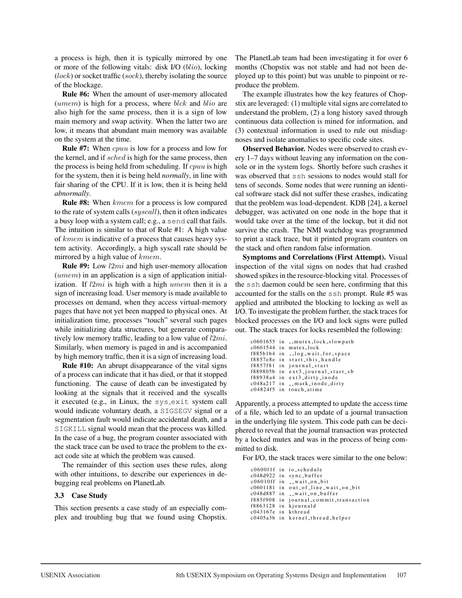a process is high, then it is typically mirrored by one or more of the following vitals: disk I/O (blio), locking  $(lock)$  or socket traffic  $(sock)$ , thereby isolating the source of the blockage.

Rule #6: When the amount of user-memory allocated  $(umen)$  is high for a process, where  $blk$  and  $blio$  are also high for the same process, then it is a sign of low main memory and swap activity. When the latter two are low, it means that abundant main memory was available on the system at the time.

Rule #7: When cpuu is low for a process and low for the kernel, and if sched is high for the same process, then the process is being held from scheduling. If cpuu is high for the system, then it is being held *normally*, in line with fair sharing of the CPU. If it is low, then it is being held *abnormally*.

Rule #8: When kmem for a process is low compared to the rate of system calls (syscall), then it often indicates a busy loop with a system call; e.g., a send call that fails. The intuition is similar to that of Rule #1: A high value of kmem is indicative of a process that causes heavy system activity. Accordingly, a high syscall rate should be mirrored by a high value of kmem.

Rule #9: Low l2mi and high user-memory allocation  $(umen)$  in an application is a sign of application initialization. If  $l2mi$  is high with a high umem then it is a sign of increasing load. User memory is made available to processes on demand, when they access virtual-memory pages that have not yet been mapped to physical ones. At initialization time, processes "touch" several such pages while initializing data structures, but generate comparatively low memory traffic, leading to a low value of  $l2mi$ . Similarly, when memory is paged in and is accompanied by high memory traffic, then it is a sign of increasing load.

Rule #10: An abrupt disappearance of the vital signs of a process can indicate that it has died, or that it stopped functioning. The cause of death can be investigated by looking at the signals that it received and the syscalls it executed (e.g., in Linux, the sys\_exit system call would indicate voluntary death, a SIGSEGV signal or a segmentation fault would indicate accidental death, and a SIGKILL signal would mean that the process was killed. In the case of a bug, the program counter associated with the stack trace can be used to trace the problem to the exact code site at which the problem was caused.

The remainder of this section uses these rules, along with other intuitions, to describe our experiences in debugging real problems on PlanetLab.

#### 3.3 Case Study

This section presents a case study of an especially complex and troubling bug that we found using Chopstix. The PlanetLab team had been investigating it for over 6 months (Chopstix was not stable and had not been deployed up to this point) but was unable to pinpoint or reproduce the problem.

The example illustrates how the key features of Chopstix are leveraged: (1) multiple vital signs are correlated to understand the problem, (2) a long history saved through continuous data collection is mined for information, and (3) contextual information is used to rule out misdiagnoses and isolate anomalies to specific code sites.

Observed Behavior. Nodes were observed to crash every 1–7 days without leaving any information on the console or in the system logs. Shortly before such crashes it was observed that ssh sessions to nodes would stall for tens of seconds. Some nodes that were running an identical software stack did not suffer these crashes, indicating that the problem was load-dependent. KDB [24], a kernel debugger, was activated on one node in the hope that it would take over at the time of the lockup, but it did not survive the crash. The NMI watchdog was programmed to print a stack trace, but it printed program counters on the stack and often random false information.

Symptoms and Correlations (First Attempt). Visual inspection of the vital signs on nodes that had crashed showed spikes in the resource-blocking vital. Processes of the ssh daemon could be seen here, confirming that this accounted for the stalls on the ssh prompt. Rule #5 was applied and attributed the blocking to locking as well as I/O. To investigate the problem further, the stack traces for blocked processes on the I/O and lock signs were pulled out. The stack traces for locks resembled the following:

```
c0601655 in \Boxmutex\Boxlock\Boxslowpath
c0601544 in mutex lock
f885b1b4 in __log_wait_for_space
f8857e8e in start_this_handle
f8857f81 in journal start
f889805b in ext3_journal_start_sb
f88938a4 in ext3 dirty inode
c048a217 in __mark_inode_dirty
c04824f5 in touch atime
```
Apparently, a process attempted to update the access time of a file, which led to an update of a journal transaction in the underlying file system. This code path can be deciphered to reveal that the journal transaction was protected by a locked mutex and was in the process of being committed to disk.

For I/O, the stack traces were similar to the one below:

c0600f1f in io schedule c048d922 in sync\_buffer  $c06010ff$  in  $-xwa$ it\_on\_bit c0601181 in out\_of\_line\_wait\_on\_bit c048d887 in \_\_wait\_on\_buffer f885f908 in journal\_commit\_transaction f8863128 in kjournald c043167e in kthread c0405a3b in kernel thread helper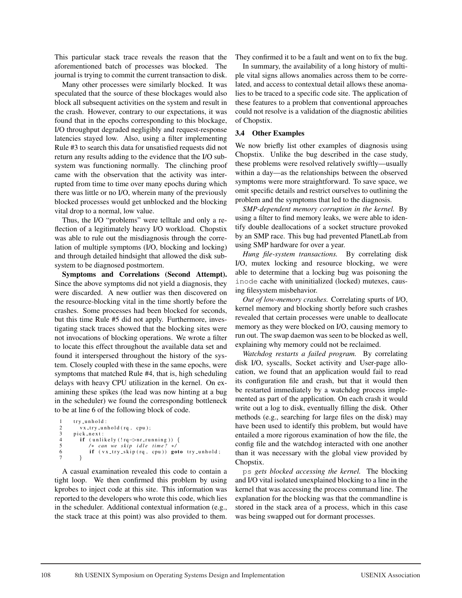This particular stack trace reveals the reason that the aforementioned batch of processes was blocked. The journal is trying to commit the current transaction to disk.

Many other processes were similarly blocked. It was speculated that the source of these blockages would also block all subsequent activities on the system and result in the crash. However, contrary to our expectations, it was found that in the epochs corresponding to this blockage, I/O throughput degraded negligibly and request-response latencies stayed low. Also, using a filter implementing Rule #3 to search this data for unsatisfied requests did not return any results adding to the evidence that the I/O subsystem was functioning normally. The clinching proof came with the observation that the activity was interrupted from time to time over many epochs during which there was little or no I/O, wherein many of the previously blocked processes would get unblocked and the blocking vital drop to a normal, low value.

Thus, the I/O "problems" were telltale and only a reflection of a legitimately heavy I/O workload. Chopstix was able to rule out the misdiagnosis through the correlation of multiple symptoms (I/O, blocking and locking) and through detailed hindsight that allowed the disk subsystem to be diagnosed postmortem.

Symptoms and Correlations (Second Attempt). Since the above symptoms did not yield a diagnosis, they were discarded. A new outlier was then discovered on the resource-blocking vital in the time shortly before the crashes. Some processes had been blocked for seconds, but this time Rule #5 did not apply. Furthermore, investigating stack traces showed that the blocking sites were not invocations of blocking operations. We wrote a filter to locate this effect throughout the available data set and found it interspersed throughout the history of the system. Closely coupled with these in the same epochs, were symptoms that matched Rule #4, that is, high scheduling delays with heavy CPU utilization in the kernel. On examining these spikes (the lead was now hinting at a bug in the scheduler) we found the corresponding bottleneck to be at line 6 of the following block of code.

```
try_unhold:
2 vx_try_unhold (rq, cpu);
3 pick_next:<br>4 if (unli
4 if (unlikely (!rq \rightarrow nr-running)) {<br>5 /* can we skip idle time? */
5 /∗ can we skip idle time?<br>6 if (vx_try_skip(rq, cpu))
               if (vx_{-}try_{-}skip_{1} (rq, cpu)) goto try_{-}unhold;7 }
```
A casual examination revealed this code to contain a tight loop. We then confirmed this problem by using kprobes to inject code at this site. This information was reported to the developers who wrote this code, which lies in the scheduler. Additional contextual information (e.g., the stack trace at this point) was also provided to them.

They confirmed it to be a fault and went on to fix the bug.

In summary, the availability of a long history of multiple vital signs allows anomalies across them to be correlated, and access to contextual detail allows these anomalies to be traced to a specific code site. The application of these features to a problem that conventional approaches could not resolve is a validation of the diagnostic abilities of Chopstix.

#### 3.4 Other Examples

We now briefly list other examples of diagnosis using Chopstix. Unlike the bug described in the case study, these problems were resolved relatively swiftly—usually within a day—as the relationships between the observed symptoms were more straightforward. To save space, we omit specific details and restrict ourselves to outlining the problem and the symptoms that led to the diagnosis.

*SMP-dependent memory corruption in the kernel.* By using a filter to find memory leaks, we were able to identify double deallocations of a socket structure provoked by an SMP race. This bug had prevented PlanetLab from using SMP hardware for over a year.

*Hung file-system transactions.* By correlating disk I/O, mutex locking and resource blocking, we were able to determine that a locking bug was poisoning the inode cache with uninitialized (locked) mutexes, causing filesystem misbehavior.

*Out of low-memory crashes.* Correlating spurts of I/O, kernel memory and blocking shortly before such crashes revealed that certain processes were unable to deallocate memory as they were blocked on I/O, causing memory to run out. The swap daemon was seen to be blocked as well, explaining why memory could not be reclaimed.

*Watchdog restarts a failed program.* By correlating disk I/O, syscalls, Socket activity and User-page allocation, we found that an application would fail to read its configuration file and crash, but that it would then be restarted immediately by a watchdog process implemented as part of the application. On each crash it would write out a log to disk, eventually filling the disk. Other methods (e.g., searching for large files on the disk) may have been used to identify this problem, but would have entailed a more rigorous examination of how the file, the config file and the watchdog interacted with one another than it was necessary with the global view provided by Chopstix.

ps *gets blocked accessing the kernel.* The blocking and I/O vital isolated unexplained blocking to a line in the kernel that was accessing the process command line. The explanation for the blocking was that the commandline is stored in the stack area of a process, which in this case was being swapped out for dormant processes.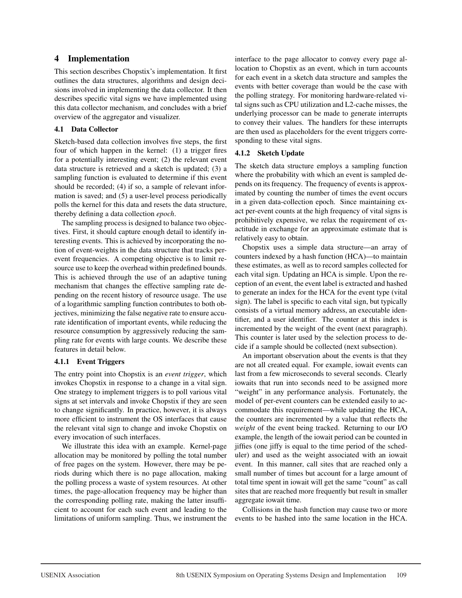# 4 Implementation

This section describes Chopstix's implementation. It first outlines the data structures, algorithms and design decisions involved in implementing the data collector. It then describes specific vital signs we have implemented using this data collector mechanism, and concludes with a brief overview of the aggregator and visualizer.

#### 4.1 Data Collector

Sketch-based data collection involves five steps, the first four of which happen in the kernel: (1) a trigger fires for a potentially interesting event; (2) the relevant event data structure is retrieved and a sketch is updated; (3) a sampling function is evaluated to determine if this event should be recorded; (4) if so, a sample of relevant information is saved; and (5) a user-level process periodically polls the kernel for this data and resets the data structure, thereby defining a data collection *epoch*.

The sampling process is designed to balance two objectives. First, it should capture enough detail to identify interesting events. This is achieved by incorporating the notion of event-weights in the data structure that tracks perevent frequencies. A competing objective is to limit resource use to keep the overhead within predefined bounds. This is achieved through the use of an adaptive tuning mechanism that changes the effective sampling rate depending on the recent history of resource usage. The use of a logarithmic sampling function contributes to both objectives, minimizing the false negative rate to ensure accurate identification of important events, while reducing the resource consumption by aggressively reducing the sampling rate for events with large counts. We describe these features in detail below.

#### 4.1.1 Event Triggers

The entry point into Chopstix is an *event trigger*, which invokes Chopstix in response to a change in a vital sign. One strategy to implement triggers is to poll various vital signs at set intervals and invoke Chopstix if they are seen to change significantly. In practice, however, it is always more efficient to instrument the OS interfaces that cause the relevant vital sign to change and invoke Chopstix on every invocation of such interfaces.

We illustrate this idea with an example. Kernel-page allocation may be monitored by polling the total number of free pages on the system. However, there may be periods during which there is no page allocation, making the polling process a waste of system resources. At other times, the page-allocation frequency may be higher than the corresponding polling rate, making the latter insufficient to account for each such event and leading to the limitations of uniform sampling. Thus, we instrument the interface to the page allocator to convey every page allocation to Chopstix as an event, which in turn accounts for each event in a sketch data structure and samples the events with better coverage than would be the case with the polling strategy. For monitoring hardware-related vital signs such as CPU utilization and L2-cache misses, the underlying processor can be made to generate interrupts to convey their values. The handlers for these interrupts are then used as placeholders for the event triggers corresponding to these vital signs.

#### 4.1.2 Sketch Update

The sketch data structure employs a sampling function where the probability with which an event is sampled depends on its frequency. The frequency of events is approximated by counting the number of times the event occurs in a given data-collection epoch. Since maintaining exact per-event counts at the high frequency of vital signs is prohibitively expensive, we relax the requirement of exactitude in exchange for an approximate estimate that is relatively easy to obtain.

Chopstix uses a simple data structure—an array of counters indexed by a hash function (HCA)—to maintain these estimates, as well as to record samples collected for each vital sign. Updating an HCA is simple. Upon the reception of an event, the event label is extracted and hashed to generate an index for the HCA for the event type (vital sign). The label is specific to each vital sign, but typically consists of a virtual memory address, an executable identifier, and a user identifier. The counter at this index is incremented by the weight of the event (next paragraph). This counter is later used by the selection process to decide if a sample should be collected (next subsection).

An important observation about the events is that they are not all created equal. For example, iowait events can last from a few microseconds to several seconds. Clearly iowaits that run into seconds need to be assigned more "weight" in any performance analysis. Fortunately, the model of per-event counters can be extended easily to accommodate this requirement—while updating the HCA, the counters are incremented by a value that reflects the *weight* of the event being tracked. Returning to our I/O example, the length of the iowait period can be counted in jiffies (one jiffy is equal to the time period of the scheduler) and used as the weight associated with an iowait event. In this manner, call sites that are reached only a small number of times but account for a large amount of total time spent in iowait will get the same "count" as call sites that are reached more frequently but result in smaller aggregate iowait time.

Collisions in the hash function may cause two or more events to be hashed into the same location in the HCA.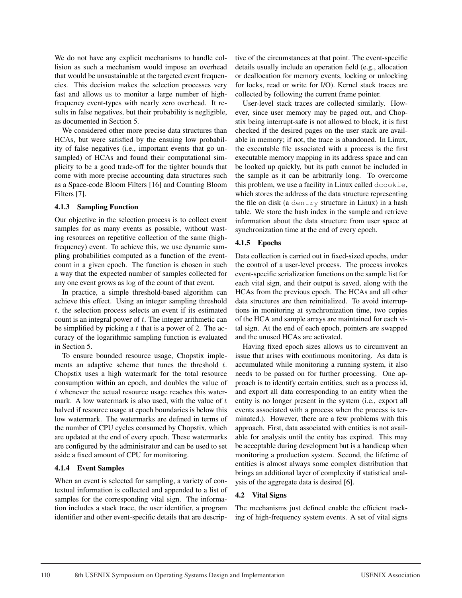We do not have any explicit mechanisms to handle collision as such a mechanism would impose an overhead that would be unsustainable at the targeted event frequencies. This decision makes the selection processes very fast and allows us to monitor a large number of highfrequency event-types with nearly zero overhead. It results in false negatives, but their probability is negligible, as documented in Section 5.

We considered other more precise data structures than HCAs, but were satisfied by the ensuing low probability of false negatives (i.e., important events that go unsampled) of HCAs and found their computational simplicity to be a good trade-off for the tighter bounds that come with more precise accounting data structures such as a Space-code Bloom Filters [16] and Counting Bloom Filters [7].

#### 4.1.3 Sampling Function

Our objective in the selection process is to collect event samples for as many events as possible, without wasting resources on repetitive collection of the same (highfrequency) event. To achieve this, we use dynamic sampling probabilities computed as a function of the eventcount in a given epoch. The function is chosen in such a way that the expected number of samples collected for any one event grows as log of the count of that event.

In practice, a simple threshold-based algorithm can achieve this effect. Using an integer sampling threshold  $t$ , the selection process selects an event if its estimated count is an integral power of t. The integer arithmetic can be simplified by picking a  $t$  that is a power of 2. The accuracy of the logarithmic sampling function is evaluated in Section 5.

To ensure bounded resource usage, Chopstix implements an adaptive scheme that tunes the threshold t. Chopstix uses a high watermark for the total resource consumption within an epoch, and doubles the value of  $t$  whenever the actual resource usage reaches this watermark. A low watermark is also used, with the value of  $t$ halved if resource usage at epoch boundaries is below this low watermark. The watermarks are defined in terms of the number of CPU cycles consumed by Chopstix, which are updated at the end of every epoch. These watermarks are configured by the administrator and can be used to set aside a fixed amount of CPU for monitoring.

#### 4.1.4 Event Samples

When an event is selected for sampling, a variety of contextual information is collected and appended to a list of samples for the corresponding vital sign. The information includes a stack trace, the user identifier, a program identifier and other event-specific details that are descriptive of the circumstances at that point. The event-specific details usually include an operation field (e.g., allocation or deallocation for memory events, locking or unlocking for locks, read or write for I/O). Kernel stack traces are collected by following the current frame pointer.

User-level stack traces are collected similarly. However, since user memory may be paged out, and Chopstix being interrupt-safe is not allowed to block, it is first checked if the desired pages on the user stack are available in memory; if not, the trace is abandoned. In Linux, the executable file associated with a process is the first executable memory mapping in its address space and can be looked up quickly, but its path cannot be included in the sample as it can be arbitrarily long. To overcome this problem, we use a facility in Linux called dcookie, which stores the address of the data structure representing the file on disk (a dentry structure in Linux) in a hash table. We store the hash index in the sample and retrieve information about the data structure from user space at synchronization time at the end of every epoch.

## 4.1.5 Epochs

Data collection is carried out in fixed-sized epochs, under the control of a user-level process. The process invokes event-specific serialization functions on the sample list for each vital sign, and their output is saved, along with the HCAs from the previous epoch. The HCAs and all other data structures are then reinitialized. To avoid interruptions in monitoring at synchronization time, two copies of the HCA and sample arrays are maintained for each vital sign. At the end of each epoch, pointers are swapped and the unused HCAs are activated.

Having fixed epoch sizes allows us to circumvent an issue that arises with continuous monitoring. As data is accumulated while monitoring a running system, it also needs to be passed on for further processing. One approach is to identify certain entities, such as a process id, and export all data corresponding to an entity when the entity is no longer present in the system (i.e., export all events associated with a process when the process is terminated.). However, there are a few problems with this approach. First, data associated with entities is not available for analysis until the entity has expired. This may be acceptable during development but is a handicap when monitoring a production system. Second, the lifetime of entities is almost always some complex distribution that brings an additional layer of complexity if statistical analysis of the aggregate data is desired [6].

#### 4.2 Vital Signs

The mechanisms just defined enable the efficient tracking of high-frequency system events. A set of vital signs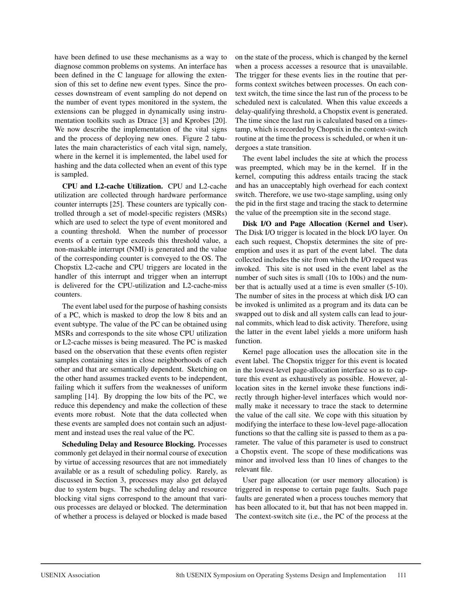have been defined to use these mechanisms as a way to diagnose common problems on systems. An interface has been defined in the C language for allowing the extension of this set to define new event types. Since the processes downstream of event sampling do not depend on the number of event types monitored in the system, the extensions can be plugged in dynamically using instrumentation toolkits such as Dtrace [3] and Kprobes [20]. We now describe the implementation of the vital signs and the process of deploying new ones. Figure 2 tabulates the main characteristics of each vital sign, namely, where in the kernel it is implemented, the label used for hashing and the data collected when an event of this type is sampled.

CPU and L2-cache Utilization. CPU and L2-cache utilization are collected through hardware performance counter interrupts [25]. These counters are typically controlled through a set of model-specific registers (MSRs) which are used to select the type of event monitored and a counting threshold. When the number of processor events of a certain type exceeds this threshold value, a non-maskable interrupt (NMI) is generated and the value of the corresponding counter is conveyed to the OS. The Chopstix L2-cache and CPU triggers are located in the handler of this interrupt and trigger when an interrupt is delivered for the CPU-utilization and L2-cache-miss counters.

The event label used for the purpose of hashing consists of a PC, which is masked to drop the low 8 bits and an event subtype. The value of the PC can be obtained using MSRs and corresponds to the site whose CPU utilization or L2-cache misses is being measured. The PC is masked based on the observation that these events often register samples containing sites in close neighborhoods of each other and that are semantically dependent. Sketching on the other hand assumes tracked events to be independent, failing which it suffers from the weaknesses of uniform sampling [14]. By dropping the low bits of the PC, we reduce this dependency and make the collection of these events more robust. Note that the data collected when these events are sampled does not contain such an adjustment and instead uses the real value of the PC.

Scheduling Delay and Resource Blocking. Processes commonly get delayed in their normal course of execution by virtue of accessing resources that are not immediately available or as a result of scheduling policy. Rarely, as discussed in Section 3, processes may also get delayed due to system bugs. The scheduling delay and resource blocking vital signs correspond to the amount that various processes are delayed or blocked. The determination of whether a process is delayed or blocked is made based on the state of the process, which is changed by the kernel when a process accesses a resource that is unavailable. The trigger for these events lies in the routine that performs context switches between processes. On each context switch, the time since the last run of the process to be scheduled next is calculated. When this value exceeds a delay-qualifying threshold, a Chopstix event is generated. The time since the last run is calculated based on a timestamp, which is recorded by Chopstix in the context-switch routine at the time the process is scheduled, or when it undergoes a state transition.

The event label includes the site at which the process was preempted, which may be in the kernel. If in the kernel, computing this address entails tracing the stack and has an unacceptably high overhead for each context switch. Therefore, we use two-stage sampling, using only the pid in the first stage and tracing the stack to determine the value of the preemption site in the second stage.

Disk I/O and Page Allocation (Kernel and User). The Disk I/O trigger is located in the block I/O layer. On each such request, Chopstix determines the site of preemption and uses it as part of the event label. The data collected includes the site from which the I/O request was invoked. This site is not used in the event label as the number of such sites is small (10s to 100s) and the number that is actually used at a time is even smaller (5-10). The number of sites in the process at which disk I/O can be invoked is unlimited as a program and its data can be swapped out to disk and all system calls can lead to journal commits, which lead to disk activity. Therefore, using the latter in the event label yields a more uniform hash function.

Kernel page allocation uses the allocation site in the event label. The Chopstix trigger for this event is located in the lowest-level page-allocation interface so as to capture this event as exhaustively as possible. However, allocation sites in the kernel invoke these functions indirectly through higher-level interfaces which would normally make it necessary to trace the stack to determine the value of the call site. We cope with this situation by modifying the interface to these low-level page-allocation functions so that the calling site is passed to them as a parameter. The value of this parameter is used to construct a Chopstix event. The scope of these modifications was minor and involved less than 10 lines of changes to the relevant file.

User page allocation (or user memory allocation) is triggered in response to certain page faults. Such page faults are generated when a process touches memory that has been allocated to it, but that has not been mapped in. The context-switch site (i.e., the PC of the process at the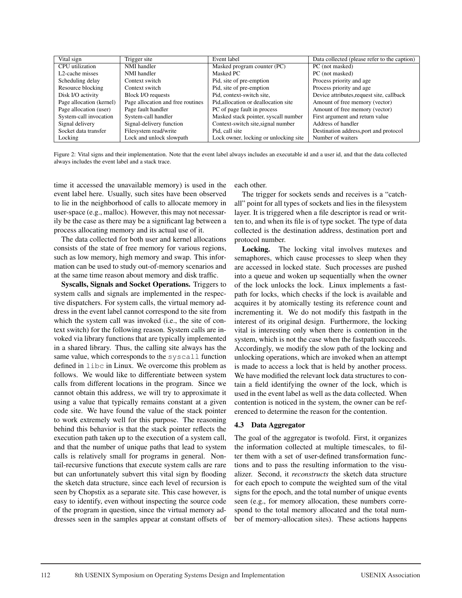| Vital sign                   | Trigger site                      | Event label                           | Data collected (please refer to the caption) |
|------------------------------|-----------------------------------|---------------------------------------|----------------------------------------------|
| CPU utilization              | NMI handler                       | Masked program counter (PC)           | PC (not masked)                              |
| L <sub>2</sub> -cache misses | NMI handler                       | Masked PC                             | PC (not masked)                              |
| Scheduling delay             | Context switch                    | Pid, site of pre-emption              | Process priority and age                     |
| Resource blocking            | Context switch                    | Pid, site of pre-emption              | Process priority and age                     |
| Disk I/O activity            | Block I/O requests                | Pid. context-switch site.             | Device attributes, request site, callback    |
| Page allocation (kernel)     | Page allocation and free routines | Pid, allocation or deallocation site  | Amount of free memory (vector)               |
| Page allocation (user)       | Page fault handler                | PC of page fault in process           | Amount of free memory (vector)               |
| System-call invocation       | System-call handler               | Masked stack pointer, syscall number  | First argument and return value              |
| Signal delivery              | Signal-delivery function          | Context-switch site, signal number    | Address of handler                           |
| Socket data transfer         | Filesystem read/write             | Pid. call site                        | Destination address, port and protocol       |
| Locking                      | Lock and unlock slowpath          | Lock owner, locking or unlocking site | Number of waiters                            |

Figure 2: Vital signs and their implementation. Note that the event label always includes an executable id and a user id, and that the data collected always includes the event label and a stack trace.

time it accessed the unavailable memory) is used in the event label here. Usually, such sites have been observed to lie in the neighborhood of calls to allocate memory in user-space (e.g., malloc). However, this may not necessarily be the case as there may be a significant lag between a process allocating memory and its actual use of it.

The data collected for both user and kernel allocations consists of the state of free memory for various regions, such as low memory, high memory and swap. This information can be used to study out-of-memory scenarios and at the same time reason about memory and disk traffic.

Syscalls, Signals and Socket Operations. Triggers to system calls and signals are implemented in the respective dispatchers. For system calls, the virtual memory address in the event label cannot correspond to the site from which the system call was invoked (i.e., the site of context switch) for the following reason. System calls are invoked via library functions that are typically implemented in a shared library. Thus, the calling site always has the same value, which corresponds to the syscall function defined in libc in Linux. We overcome this problem as follows. We would like to differentiate between system calls from different locations in the program. Since we cannot obtain this address, we will try to approximate it using a value that typically remains constant at a given code site. We have found the value of the stack pointer to work extremely well for this purpose. The reasoning behind this behavior is that the stack pointer reflects the execution path taken up to the execution of a system call, and that the number of unique paths that lead to system calls is relatively small for programs in general. Nontail-recursive functions that execute system calls are rare but can unfortunately subvert this vital sign by flooding the sketch data structure, since each level of recursion is seen by Chopstix as a separate site. This case however, is easy to identify, even without inspecting the source code of the program in question, since the virtual memory addresses seen in the samples appear at constant offsets of

each other.

The trigger for sockets sends and receives is a "catchall" point for all types of sockets and lies in the filesystem layer. It is triggered when a file descriptor is read or written to, and when its file is of type socket. The type of data collected is the destination address, destination port and protocol number.

Locking. The locking vital involves mutexes and semaphores, which cause processes to sleep when they are accessed in locked state. Such processes are pushed into a queue and woken up sequentially when the owner of the lock unlocks the lock. Linux implements a fastpath for locks, which checks if the lock is available and acquires it by atomically testing its reference count and incrementing it. We do not modify this fastpath in the interest of its original design. Furthermore, the locking vital is interesting only when there is contention in the system, which is not the case when the fastpath succeeds. Accordingly, we modify the slow path of the locking and unlocking operations, which are invoked when an attempt is made to access a lock that is held by another process. We have modified the relevant lock data structures to contain a field identifying the owner of the lock, which is used in the event label as well as the data collected. When contention is noticed in the system, the owner can be referenced to determine the reason for the contention.

#### 4.3 Data Aggregator

The goal of the aggregator is twofold. First, it organizes the information collected at multiple timescales, to filter them with a set of user-defined transformation functions and to pass the resulting information to the visualizer. Second, it *reconstructs* the sketch data structure for each epoch to compute the weighted sum of the vital signs for the epoch, and the total number of unique events seen (e.g., for memory allocation, these numbers correspond to the total memory allocated and the total number of memory-allocation sites). These actions happens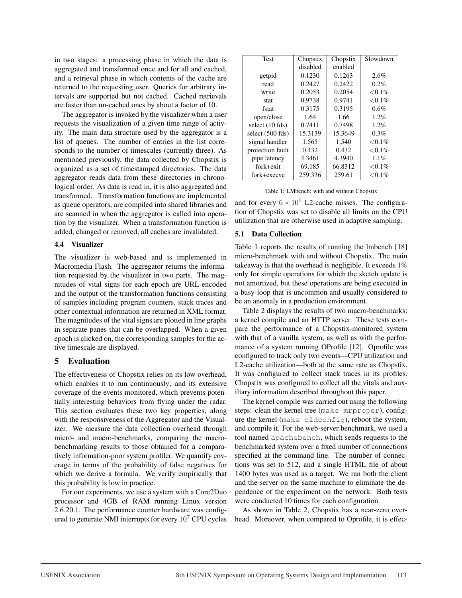in two stages: a processing phase in which the data is aggregated and transformed once and for all and cached, and a retrieval phase in which contents of the cache are returned to the requesting user. Queries for arbitrary intervals are supported but not cached. Cached retrievals are faster than un-cached ones by about a factor of 10.

The aggregator is invoked by the visualizer when a user requests the visualization of a given time range of activity. The main data structure used by the aggregator is a list of queues. The number of entries in the list corresponds to the number of timescales (currently three). As mentioned previously, the data collected by Chopstix is organized as a set of timestamped directories. The data aggregator reads data from these directories in chronological order. As data is read in, it is also aggregated and transformed. Transformation functions are implemented as queue operators, are compiled into shared libraries and are scanned in when the aggregator is called into operation by the visualizer. When a transformation function is added, changed or removed, all caches are invalidated.

#### 4.4 Visualizer

The visualizer is web-based and is implemented in Macromedia Flash. The aggregator returns the information requested by the visualizer in two parts. The magnitudes of vital signs for each epoch are URL-encoded and the output of the transformation functions consisting of samples including program counters, stack traces and other contextual information are returned in XML format. The magnitudes of the vital signs are plotted in line graphs in separate panes that can be overlapped. When a given epoch is clicked on, the corresponding samples for the active timescale are displayed.

# 5 Evaluation

The effectiveness of Chopstix relies on its low overhead, which enables it to run continuously; and its extensive coverage of the events monitored, which prevents potentially interesting behaviors from flying under the radar. This section evaluates these two key properties, along with the responsiveness of the Aggregator and the Visualizer. We measure the data collection overhead through micro- and macro-benchmarks, comparing the macrobenchmarking results to those obtained for a comparatively information-poor system profiler. We quantify coverage in terms of the probability of false negatives for which we derive a formula. We verify empirically that this probability is low in practice.

For our experiments, we use a system with a Core2Duo processor and 4GB of RAM running Linux version 2.6.20.1. The performance counter hardware was configured to generate NMI interrupts for every 10<sup>7</sup> CPU cycles

| <b>Test</b>      | Chopstix | Chopstix | Slowdown   |
|------------------|----------|----------|------------|
|                  | disabled | enabled  |            |
| getpid           | 0.1230   | 0.1263   | 2.6%       |
| read             | 0.2427   | 0.2422   | 0.2%       |
| write            | 0.2053   | 0.2054   | $< 0.1\%$  |
| stat             | 0.9738   | 0.9741   | $< 0.1\%$  |
| fstat            | 0.3175   | 0.3195   | 0.6%       |
| open/close       | 1.64     | 1.66     | 1.2%       |
| select (10 fds)  | 0.7411   | 0.7498   | 1.2%       |
| select (500 fds) | 15.3139  | 15.3649  | 0.3%       |
| signal handler   | 1.565    | 1.540    | ${<}0.1\%$ |
| protection fault | 0.432    | 0.432    | ${<}0.1\%$ |
| pipe latency     | 4.3461   | 4.3940   | 1.1%       |
| $fork + exit$    | 69.185   | 66.8312  | ${<}0.1\%$ |
| fork+execve      | 259.336  | 259.61   | ${<}0.1\%$ |

Table 1: LMbench: with and without Chopstix

and for every  $6 * 10^5$  L2-cache misses. The configuration of Chopstix was set to disable all limits on the CPU utilization that are otherwise used in adaptive sampling.

#### 5.1 Data Collection

Table 1 reports the results of running the lmbench [18] micro-benchmark with and without Chopstix. The main takeaway is that the overhead is negligible. It exceeds 1% only for simple operations for which the sketch update is not amortized, but these operations are being executed in a busy-loop that is uncommon and usually considered to be an anomaly in a production environment.

Table 2 displays the results of two macro-benchmarks: a kernel compile and an HTTP server. These tests compare the performance of a Chopstix-monitored system with that of a vanilla system, as well as with the performance of a system running OProfile [12]. Oprofile was configured to track only two events—CPU utilization and L2-cache utilization—both at the same rate as Chopstix. It was configured to collect stack traces in its profiles. Chopstix was configured to collect all the vitals and auxiliary information described throughout this paper.

The kernel compile was carried out using the following steps: clean the kernel tree (make mrproper), configure the kernel (make oldconfig), reboot the system, and compile it. For the web-server benchmark, we used a tool named apachebench, which sends requests to the benchmarked system over a fixed number of connections specified at the command line. The number of connections was set to 512, and a single HTML file of about 1400 bytes was used as a target. We ran both the client and the server on the same machine to eliminate the dependence of the experiment on the network. Both tests were conducted 10 times for each configuration.

As shown in Table 2, Chopstix has a near-zero overhead. Moreover, when compared to Oprofile, it is effec-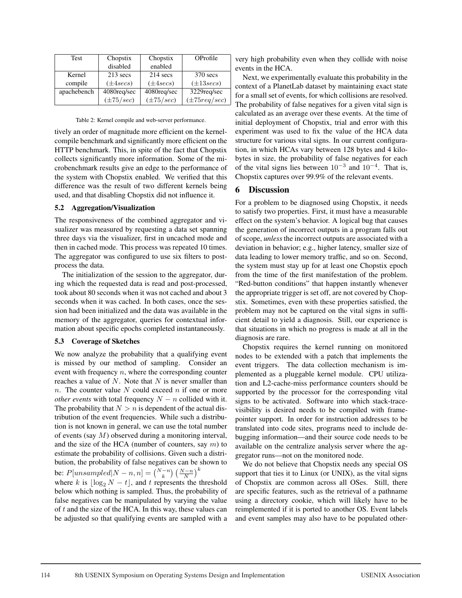| <b>Test</b> | Chopstix       | Chopstix         | OProfile                  |
|-------------|----------------|------------------|---------------------------|
|             | disabled       | enabled          |                           |
| Kernel      | $213$ secs     | $214$ secs       | $370$ secs                |
| compile     | $(\pm 4 secs)$ | $(\pm 4 \sec s)$ | $(\pm 13 \sec s)$         |
| apachebench | 4080req/sec    | 4080req/sec      | 3229req/sec               |
|             | $(\pm 75/sec)$ | $(\pm 75/sec)$   | $(\pm 75 \text{reg/sec})$ |

Table 2: Kernel compile and web-server performance.

tively an order of magnitude more efficient on the kernelcompile benchmark and significantly more efficient on the HTTP benchmark. This, in spite of the fact that Chopstix collects significantly more information. Some of the microbenchmark results give an edge to the performance of the system with Chopstix enabled. We verified that this difference was the result of two different kernels being used, and that disabling Chopstix did not influence it.

#### 5.2 Aggregation/Visualization

The responsiveness of the combined aggregator and visualizer was measured by requesting a data set spanning three days via the visualizer, first in uncached mode and then in cached mode. This process was repeated 10 times. The aggregator was configured to use six filters to postprocess the data.

The initialization of the session to the aggregator, during which the requested data is read and post-processed, took about 80 seconds when it was not cached and about 3 seconds when it was cached. In both cases, once the session had been initialized and the data was available in the memory of the aggregator, queries for contextual information about specific epochs completed instantaneously.

#### 5.3 Coverage of Sketches

We now analyze the probability that a qualifying event is missed by our method of sampling. Consider an event with frequency  $n$ , where the corresponding counter reaches a value of  $N$ . Note that  $N$  is never smaller than n. The counter value  $N$  could exceed  $n$  if one or more *other events* with total frequency  $N - n$  collided with it. The probability that  $N>n$  is dependent of the actual distribution of the event frequencies. While such a distribution is not known in general, we can use the total number of events (say M) observed during a monitoring interval, and the size of the HCA (number of counters, say  $m$ ) to estimate the probability of collisions. Given such a distribution, the probability of false negatives can be shown to be:  $P[unsampled|N-n,n] = {N-n \choose k} \left(\frac{N-n}{N}\right)^k$ 

where k is  $\log_2 N - t$ , and t represents the threshold below which nothing is sampled. Thus, the probability of false negatives can be manipulated by varying the value of  $t$  and the size of the HCA. In this way, these values can be adjusted so that qualifying events are sampled with a

very high probability even when they collide with noise events in the HCA.

Next, we experimentally evaluate this probability in the context of a PlanetLab dataset by maintaining exact state for a small set of events, for which collisions are resolved. The probability of false negatives for a given vital sign is calculated as an average over these events. At the time of initial deployment of Chopstix, trial and error with this experiment was used to fix the value of the HCA data structure for various vital signs. In our current configuration, in which HCAs vary between 128 bytes and 4 kilobytes in size, the probability of false negatives for each of the vital signs lies between  $10^{-3}$  and  $10^{-4}$ . That is, Chopstix captures over 99.9% of the relevant events.

## 6 Discussion

For a problem to be diagnosed using Chopstix, it needs to satisfy two properties. First, it must have a measurable effect on the system's behavior. A logical bug that causes the generation of incorrect outputs in a program falls out of scope, *unless* the incorrect outputs are associated with a deviation in behavior; e.g., higher latency, smaller size of data leading to lower memory traffic, and so on. Second, the system must stay up for at least one Chopstix epoch from the time of the first manifestation of the problem. "Red-button conditions" that happen instantly whenever the appropriate trigger is set off, are not covered by Chopstix. Sometimes, even with these properties satisfied, the problem may not be captured on the vital signs in sufficient detail to yield a diagnosis. Still, our experience is that situations in which no progress is made at all in the diagnosis are rare.

Chopstix requires the kernel running on monitored nodes to be extended with a patch that implements the event triggers. The data collection mechanism is implemented as a pluggable kernel module. CPU utilization and L2-cache-miss performance counters should be supported by the processor for the corresponding vital signs to be activated. Software into which stack-tracevisibility is desired needs to be compiled with framepointer support. In order for instruction addresses to be translated into code sites, programs need to include debugging information—and their source code needs to be available on the centralize analysis server where the aggregator runs—not on the monitored node.

We do not believe that Chopstix needs any special OS support that ties it to Linux (or UNIX), as the vital signs of Chopstix are common across all OSes. Still, there are specific features, such as the retrieval of a pathname using a directory cookie, which will likely have to be reimplemented if it is ported to another OS. Event labels and event samples may also have to be populated other-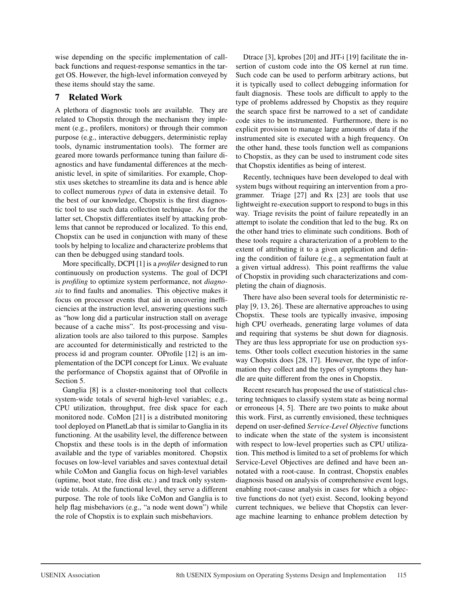wise depending on the specific implementation of callback functions and request-response semantics in the target OS. However, the high-level information conveyed by these items should stay the same.

# 7 Related Work

A plethora of diagnostic tools are available. They are related to Chopstix through the mechanism they implement (e.g., profilers, monitors) or through their common purpose (e.g., interactive debuggers, deterministic replay tools, dynamic instrumentation tools). The former are geared more towards performance tuning than failure diagnostics and have fundamental differences at the mechanistic level, in spite of similarities. For example, Chopstix uses sketches to streamline its data and is hence able to collect numerous *types* of data in extensive detail. To the best of our knowledge, Chopstix is the first diagnostic tool to use such data collection technique. As for the latter set, Chopstix differentiates itself by attacking problems that cannot be reproduced or localized. To this end, Chopstix can be used in conjunction with many of these tools by helping to localize and characterize problems that can then be debugged using standard tools.

More specifically, DCPI [1] is a *profiler* designed to run continuously on production systems. The goal of DCPI is *profiling* to optimize system performance, not *diagnosis* to find faults and anomalies. This objective makes it focus on processor events that aid in uncovering inefficiencies at the instruction level, answering questions such as "how long did a particular instruction stall on average because of a cache miss". Its post-processing and visualization tools are also tailored to this purpose. Samples are accounted for deterministically and restricted to the process id and program counter. OProfile [12] is an implementation of the DCPI concept for Linux. We evaluate the performance of Chopstix against that of OProfile in Section 5.

Ganglia [8] is a cluster-monitoring tool that collects system-wide totals of several high-level variables; e.g., CPU utilization, throughput, free disk space for each monitored node. CoMon [21] is a distributed monitoring tool deployed on PlanetLab that is similar to Ganglia in its functioning. At the usability level, the difference between Chopstix and these tools is in the depth of information available and the type of variables monitored. Chopstix focuses on low-level variables and saves contextual detail while CoMon and Ganglia focus on high-level variables (uptime, boot state, free disk etc.) and track only systemwide totals. At the functional level, they serve a different purpose. The role of tools like CoMon and Ganglia is to help flag misbehaviors (e.g., "a node went down") while the role of Chopstix is to explain such misbehaviors.

Dtrace [3], kprobes [20] and JIT-i [19] facilitate the insertion of custom code into the OS kernel at run time. Such code can be used to perform arbitrary actions, but it is typically used to collect debugging information for fault diagnosis. These tools are difficult to apply to the type of problems addressed by Chopstix as they require the search space first be narrowed to a set of candidate code sites to be instrumented. Furthermore, there is no explicit provision to manage large amounts of data if the instrumented site is executed with a high frequency. On the other hand, these tools function well as companions to Chopstix, as they can be used to instrument code sites that Chopstix identifies as being of interest.

Recently, techniques have been developed to deal with system bugs without requiring an intervention from a programmer. Triage [27] and Rx [23] are tools that use lightweight re-execution support to respond to bugs in this way. Triage revisits the point of failure repeatedly in an attempt to isolate the condition that led to the bug. Rx on the other hand tries to eliminate such conditions. Both of these tools require a characterization of a problem to the extent of attributing it to a given application and defining the condition of failure (e.g., a segmentation fault at a given virtual address). This point reaffirms the value of Chopstix in providing such characterizations and completing the chain of diagnosis.

There have also been several tools for deterministic replay [9, 13, 26]. These are alternative approaches to using Chopstix. These tools are typically invasive, imposing high CPU overheads, generating large volumes of data and requiring that systems be shut down for diagnosis. They are thus less appropriate for use on production systems. Other tools collect execution histories in the same way Chopstix does [28, 17]. However, the type of information they collect and the types of symptoms they handle are quite different from the ones in Chopstix.

Recent research has proposed the use of statistical clustering techniques to classify system state as being normal or erroneous [4, 5]. There are two points to make about this work. First, as currently envisioned, these techniques depend on user-defined *Service-Level Objective* functions to indicate when the state of the system is inconsistent with respect to low-level properties such as CPU utilization. This method is limited to a set of problems for which Service-Level Objectives are defined and have been annotated with a root-cause. In contrast, Chopstix enables diagnosis based on analysis of comprehensive event logs, enabling root-cause analysis in cases for which a objective functions do not (yet) exist. Second, looking beyond current techniques, we believe that Chopstix can leverage machine learning to enhance problem detection by